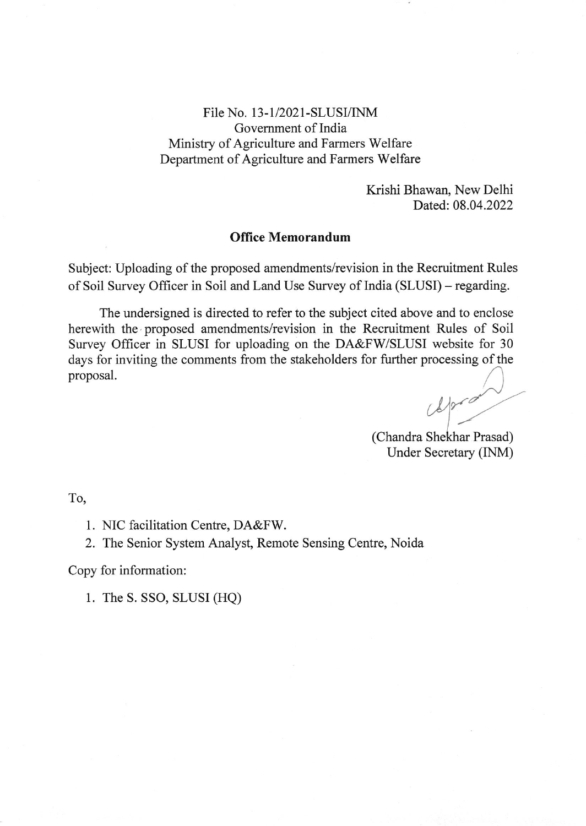File No. 13-1/2021-SLUSI/INM Government of India Ministry of Agriculture and Farmers Welfare Department of Agriculture and Farmers Welfare

> Krishi Bhawan, New Delhi Dated:08.04.2022

## Office Memorandum

Subject: Uploading of the proposed amendments/revision in the Recruitment Rules of Soil Survey Officer in Soil and Land Use Survey of India (SLUSI) - regarding.

The undersigned is directed to refer to the subject cited above and to enclose herewith the proposed amendments/revision in the Recruitment Rules of Soil Survey Officer in SLUSI for uploading on the DA&FW/SLUSI website for 30 days for inviting the comments from the stakeholders for further processing of the proposal.

 $4000$ 

(Chandra Shekhar Prasad) Under Secretary [NM)

To,

1. NIC facilitation Centre, DA&FW.

2. The Senior System Analyst, Remote Sensing Centre, Noida

Copy for information:

1. The S. SSo, SLUSI (HQ)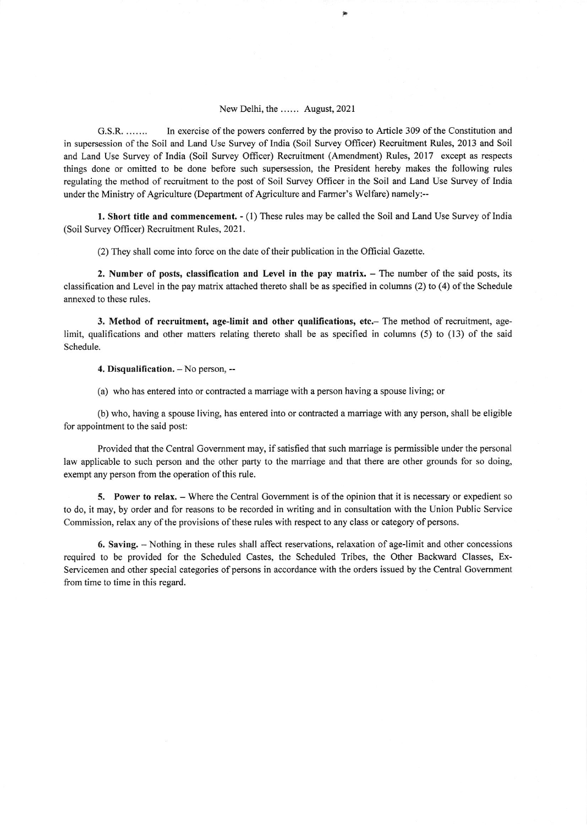## New Delhi, the ...... August,2021

G.S.R. ....... In exercise ofthe powers confered by the proviso to Article 309 ofthe Constitution and in supersession ofthe Soil and Land Use Survey of India (Soil Survey Officer) Recruitment Rules, 2013 and Soil and Land Use Survey of India (Soil Survey Oflicer) Recruitment (Amendment) Rules, 2017 except as respects things done or omitted to be done before such supersession, the President hereby makes the following rules regulating the method of recruitment to the post of Soil Survey Officer in the Soil and Land Use Survey of India under the Ministry of Agriculture (Department of Agriculture and Farmer's Welfare) namely:--

1. Short title and commencement. - (1) These rules may be called the Soil and Land Use Survey of India (Soil Survey Officer) Recruitment Rules, 2021.

(2) They shall come into force on the date of their publication in the Official Gazette.

2. Number of posts, classification and Level in the pay matrix. - The number of the said posts, its classification and Level in the pay matrix attached thereto shall be as specified in columns (2) to (4) ofthe Schedule annexed to these rules.

3. Method of recruitment, age-limit and other qualifications, etc.- The method of recruitment, agelimit, qualifications and other matters relating thereto shall be as specified in columns (5) to (13) of the said Schedule.

4. Disqualification.  $-$  No person,  $-$ 

(a) who has entered into or contracted a marriage with a person having a spouse living; or

(b) who, having a spouse living, has entered into or contracted a marriage with any person, shall be eligible for appointment to the said post:

Provided that the Central Government may, if satisfied that such marriage is permissible under the personal law applicable to such person and the other party to the marriage and that there are other grounds for so doing, exempt any person from the operation of this rule.

5. Power to relax. – Where the Central Government is of the opinion that it is necessary or expedient so to do, it may, by order and for reasons to be recorded in writing and in consultation with the Union Public Service Commission, relax any of the provisions of these rules with respect to any class or category of persons.

6, Saving, - Nothing in these rules shall affect reservations, relaxation of age-limit and other concessions required to be provided for the Scheduled Castes, the Scheduled Tribes, the Other Backward Classes, Ex-Servicemen and other special categories of persons in accordance with the orders issued by the Central Government from time to time in this regard.